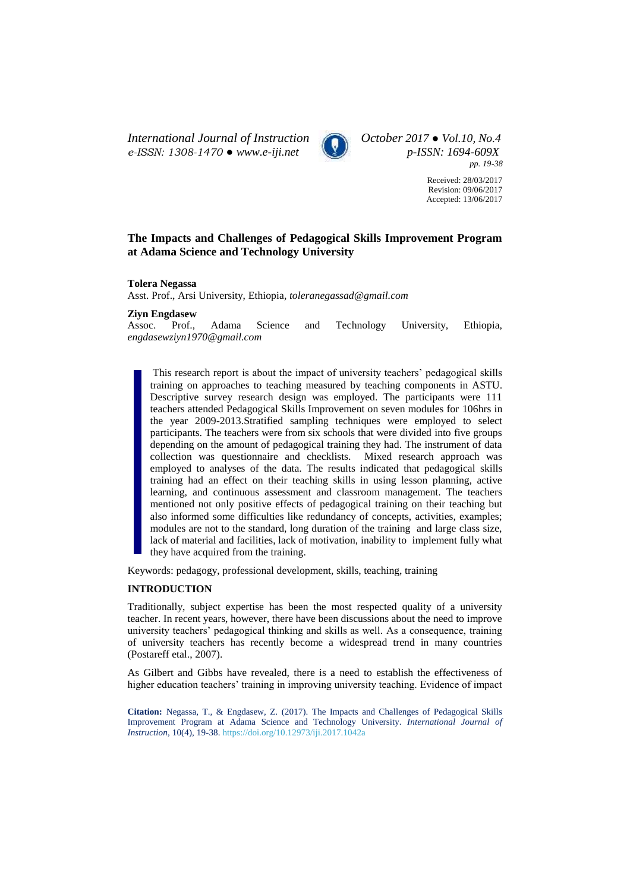*International Journal of Instruction October 2017 ● Vol.10, No.4 e-ISSN: 1308-1470 ● [www.e-iji.net](http://www.e-iji.net/) p-ISSN: 1694-609X*



*pp. 19-38*

Received: 28/03/2017 Revision: 09/06/2017 Accepted: 13/06/2017

# **The Impacts and Challenges of Pedagogical Skills Improvement Program at Adama Science and Technology University**

**Tolera Negassa**

Asst. Prof., Arsi University, Ethiopia, *toleranegassad@gmail.com*

**Ziyn Engdasew**

Assoc. Prof., Adama Science and Technology University, Ethiopia, *engdasewziyn1970@gmail.com*

This research report is about the impact of university teachers' pedagogical skills training on approaches to teaching measured by teaching components in ASTU. Descriptive survey research design was employed. The participants were 111 teachers attended Pedagogical Skills Improvement on seven modules for 106hrs in the year 2009-2013.Stratified sampling techniques were employed to select participants. The teachers were from six schools that were divided into five groups depending on the amount of pedagogical training they had. The instrument of data collection was questionnaire and checklists. Mixed research approach was employed to analyses of the data. The results indicated that pedagogical skills training had an effect on their teaching skills in using lesson planning, active learning, and continuous assessment and classroom management. The teachers mentioned not only positive effects of pedagogical training on their teaching but also informed some difficulties like redundancy of concepts, activities, examples; modules are not to the standard, long duration of the training and large class size, lack of material and facilities, lack of motivation, inability to implement fully what they have acquired from the training.

Keywords: pedagogy, professional development, skills, teaching, training

# **INTRODUCTION**

Traditionally, subject expertise has been the most respected quality of a university teacher. In recent years, however, there have been discussions about the need to improve university teachers' pedagogical thinking and skills as well. As a consequence, training of university teachers has recently become a widespread trend in many countries (Postareff etal., 2007).

As Gilbert and Gibbs have revealed, there is a need to establish the effectiveness of higher education teachers' training in improving university teaching. Evidence of impact

**Citation:** Negassa, T., & Engdasew, Z. (2017). The Impacts and Challenges of Pedagogical Skills Improvement Program at Adama Science and Technology University. *International Journal of Instruction*, 10(4), 19-38. <https://doi.org/10.12973/iji.2017.1042a>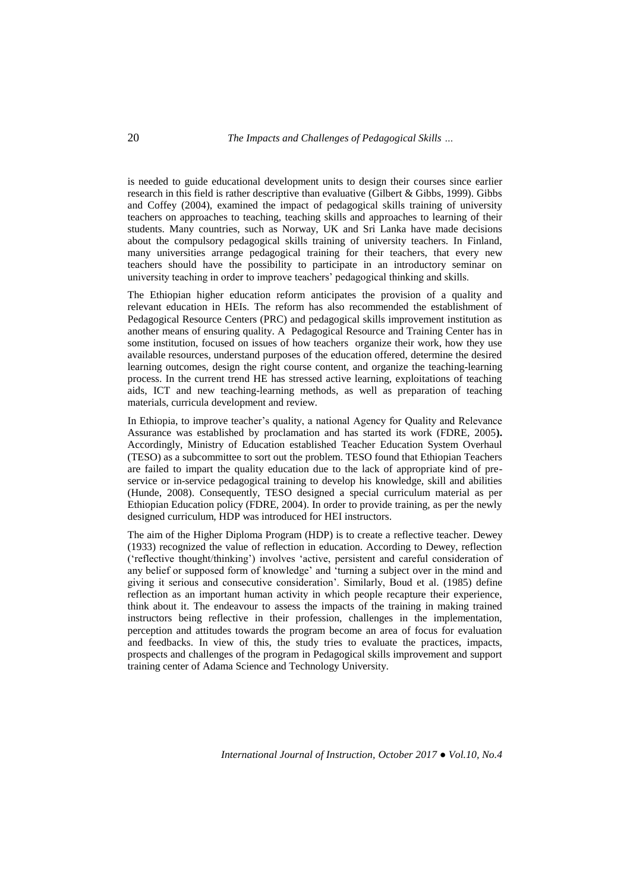is needed to guide educational development units to design their courses since earlier research in this field is rather descriptive than evaluative (Gilbert & Gibbs, 1999). Gibbs and Coffey (2004), examined the impact of pedagogical skills training of university teachers on approaches to teaching, teaching skills and approaches to learning of their students. Many countries, such as Norway, UK and Sri Lanka have made decisions about the compulsory pedagogical skills training of university teachers. In Finland, many universities arrange pedagogical training for their teachers, that every new teachers should have the possibility to participate in an introductory seminar on university teaching in order to improve teachers' pedagogical thinking and skills.

The Ethiopian higher education reform anticipates the provision of a quality and relevant education in HEIs. The reform has also recommended the establishment of Pedagogical Resource Centers (PRC) and pedagogical skills improvement institution as another means of ensuring quality. A Pedagogical Resource and Training Center has in some institution, focused on issues of how teachers organize their work, how they use available resources, understand purposes of the education offered, determine the desired learning outcomes, design the right course content, and organize the teaching-learning process. In the current trend HE has stressed active learning, exploitations of teaching aids, ICT and new teaching-learning methods, as well as preparation of teaching materials, curricula development and review.

In Ethiopia, to improve teacher's quality, a national Agency for Quality and Relevance Assurance was established by proclamation and has started its work (FDRE, 2005**).**  Accordingly, Ministry of Education established Teacher Education System Overhaul (TESO) as a subcommittee to sort out the problem. TESO found that Ethiopian Teachers are failed to impart the quality education due to the lack of appropriate kind of preservice or in-service pedagogical training to develop his knowledge, skill and abilities (Hunde, 2008). Consequently, TESO designed a special curriculum material as per Ethiopian Education policy (FDRE, 2004). In order to provide training, as per the newly designed curriculum, HDP was introduced for HEI instructors.

The aim of the Higher Diploma Program (HDP) is to create a reflective teacher. Dewey (1933) recognized the value of reflection in education. According to Dewey, reflection ('reflective thought/thinking') involves 'active, persistent and careful consideration of any belief or supposed form of knowledge' and 'turning a subject over in the mind and giving it serious and consecutive consideration'. Similarly, Boud et al. (1985) define reflection as an important human activity in which people recapture their experience, think about it. The endeavour to assess the impacts of the training in making trained instructors being reflective in their profession, challenges in the implementation, perception and attitudes towards the program become an area of focus for evaluation and feedbacks. In view of this, the study tries to evaluate the practices, impacts, prospects and challenges of the program in Pedagogical skills improvement and support training center of Adama Science and Technology University.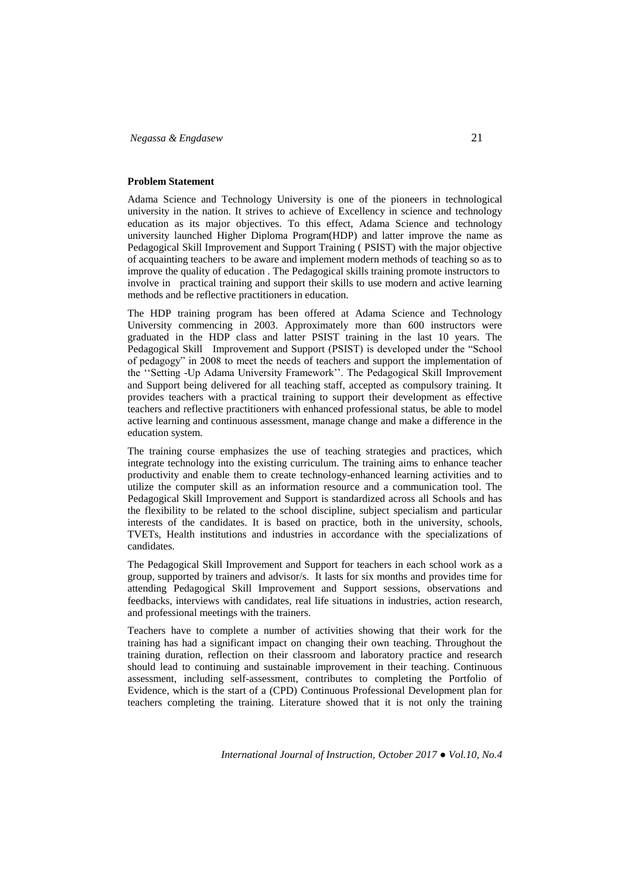# **Problem Statement**

Adama Science and Technology University is one of the pioneers in technological university in the nation. It strives to achieve of Excellency in science and technology education as its major objectives. To this effect, Adama Science and technology university launched Higher Diploma Program(HDP) and latter improve the name as Pedagogical Skill Improvement and Support Training ( PSIST) with the major objective of acquainting teachers to be aware and implement modern methods of teaching so as to improve the quality of education . The Pedagogical skills training promote instructors to involve in practical training and support their skills to use modern and active learning methods and be reflective practitioners in education.

The HDP training program has been offered at Adama Science and Technology University commencing in 2003. Approximately more than 600 instructors were graduated in the HDP class and latter PSIST training in the last 10 years. The Pedagogical Skill Improvement and Support (PSIST) is developed under the "School of pedagogy" in 2008 to meet the needs of teachers and support the implementation of the ''Setting -Up Adama University Framework''. The Pedagogical Skill Improvement and Support being delivered for all teaching staff, accepted as compulsory training. It provides teachers with a practical training to support their development as effective teachers and reflective practitioners with enhanced professional status, be able to model active learning and continuous assessment, manage change and make a difference in the education system.

The training course emphasizes the use of teaching strategies and practices, which integrate technology into the existing curriculum. The training aims to enhance teacher productivity and enable them to create technology-enhanced learning activities and to utilize the computer skill as an information resource and a communication tool. The Pedagogical Skill Improvement and Support is standardized across all Schools and has the flexibility to be related to the school discipline, subject specialism and particular interests of the candidates. It is based on practice, both in the university, schools, TVETs, Health institutions and industries in accordance with the specializations of candidates.

The Pedagogical Skill Improvement and Support for teachers in each school work as a group, supported by trainers and advisor/s. It lasts for six months and provides time for attending Pedagogical Skill Improvement and Support sessions, observations and feedbacks, interviews with candidates, real life situations in industries, action research, and professional meetings with the trainers.

Teachers have to complete a number of activities showing that their work for the training has had a significant impact on changing their own teaching. Throughout the training duration, reflection on their classroom and laboratory practice and research should lead to continuing and sustainable improvement in their teaching. Continuous assessment, including self-assessment, contributes to completing the Portfolio of Evidence, which is the start of a (CPD) Continuous Professional Development plan for teachers completing the training. Literature showed that it is not only the training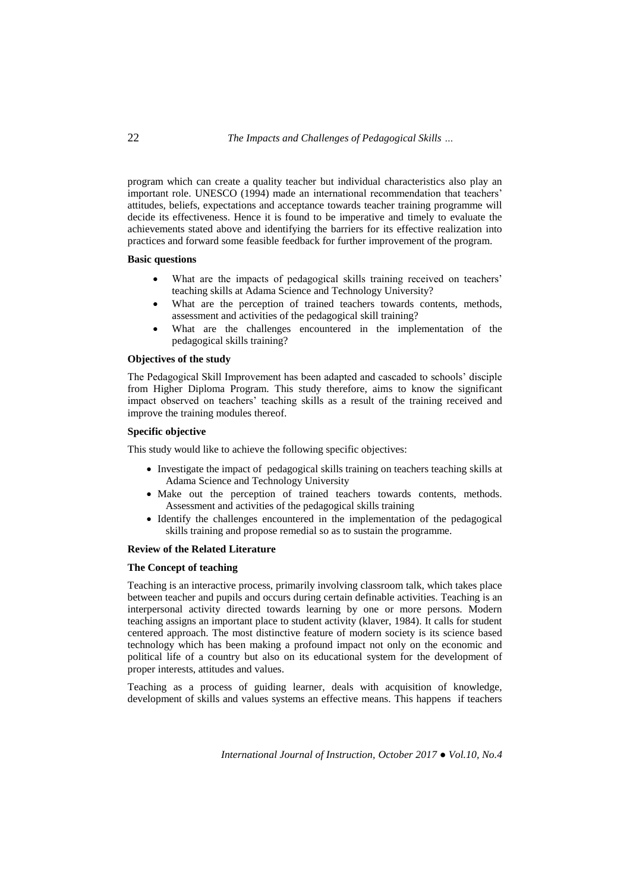program which can create a quality teacher but individual characteristics also play an important role. UNESCO (1994) made an international recommendation that teachers' attitudes, beliefs, expectations and acceptance towards teacher training programme will decide its effectiveness. Hence it is found to be imperative and timely to evaluate the achievements stated above and identifying the barriers for its effective realization into practices and forward some feasible feedback for further improvement of the program.

### **Basic questions**

- What are the impacts of pedagogical skills training received on teachers' teaching skills at Adama Science and Technology University?
- What are the perception of trained teachers towards contents, methods, assessment and activities of the pedagogical skill training?
- What are the challenges encountered in the implementation of the pedagogical skills training?

### **Objectives of the study**

The Pedagogical Skill Improvement has been adapted and cascaded to schools' disciple from Higher Diploma Program. This study therefore, aims to know the significant impact observed on teachers' teaching skills as a result of the training received and improve the training modules thereof.

### **Specific objective**

This study would like to achieve the following specific objectives:

- Investigate the impact of pedagogical skills training on teachers teaching skills at Adama Science and Technology University
- Make out the perception of trained teachers towards contents, methods. Assessment and activities of the pedagogical skills training
- Identify the challenges encountered in the implementation of the pedagogical skills training and propose remedial so as to sustain the programme.

# **Review of the Related Literature**

## **The Concept of teaching**

Teaching is an interactive process, primarily involving classroom talk, which takes place between teacher and pupils and occurs during certain definable activities. Teaching is an interpersonal activity directed towards learning by one or more persons. Modern teaching assigns an important place to student activity (klaver, 1984). It calls for student centered approach. The most distinctive feature of modern society is its science based technology which has been making a profound impact not only on the economic and political life of a country but also on its educational system for the development of proper interests, attitudes and values.

Teaching as a process of guiding learner, deals with acquisition of knowledge, development of skills and values systems an effective means. This happens if teachers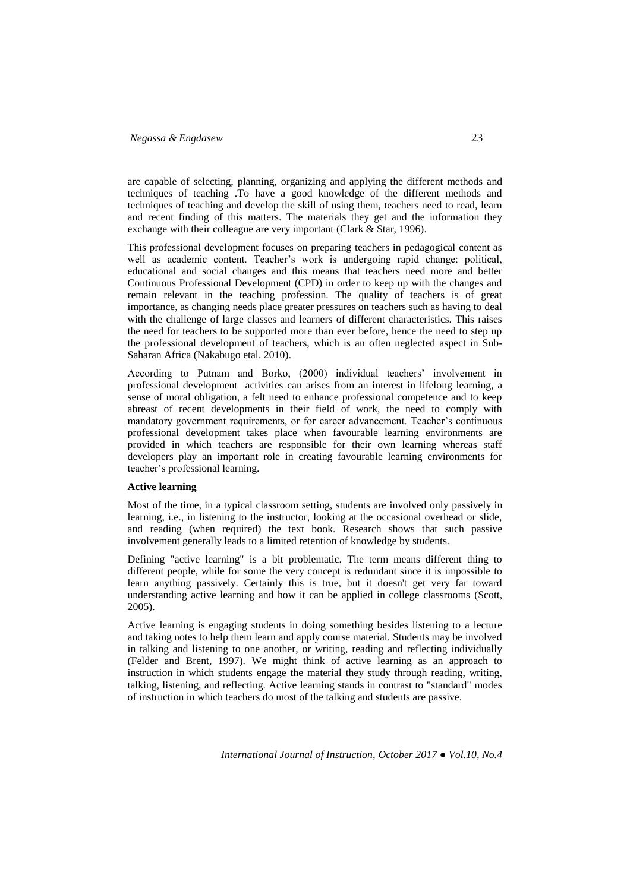are capable of selecting, planning, organizing and applying the different methods and techniques of teaching .To have a good knowledge of the different methods and techniques of teaching and develop the skill of using them, teachers need to read, learn and recent finding of this matters. The materials they get and the information they exchange with their colleague are very important (Clark & Star, 1996).

This professional development focuses on preparing teachers in pedagogical content as well as academic content. Teacher's work is undergoing rapid change: political, educational and social changes and this means that teachers need more and better Continuous Professional Development (CPD) in order to keep up with the changes and remain relevant in the teaching profession. The quality of teachers is of great importance, as changing needs place greater pressures on teachers such as having to deal with the challenge of large classes and learners of different characteristics. This raises the need for teachers to be supported more than ever before, hence the need to step up the professional development of teachers, which is an often neglected aspect in Sub-Saharan Africa (Nakabugo etal. 2010).

According to Putnam and Borko, (2000) individual teachers' involvement in professional development activities can arises from an interest in lifelong learning, a sense of moral obligation, a felt need to enhance professional competence and to keep abreast of recent developments in their field of work, the need to comply with mandatory government requirements, or for career advancement. Teacher's continuous professional development takes place when favourable learning environments are provided in which teachers are responsible for their own learning whereas staff developers play an important role in creating favourable learning environments for teacher's professional learning.

## **Active learning**

Most of the time, in a typical classroom setting, students are involved only passively in learning, i.e., in listening to the instructor, looking at the occasional overhead or slide, and reading (when required) the text book. Research shows that such passive involvement generally leads to a limited retention of knowledge by students.

Defining "active learning" is a bit problematic. The term means different thing to different people, while for some the very concept is redundant since it is impossible to learn anything passively. Certainly this is true, but it doesn't get very far toward understanding active learning and how it can be applied in college classrooms (Scott, 2005).

Active learning is engaging students in doing something besides listening to a lecture and taking notes to help them learn and apply course material. Students may be involved in talking and listening to one another, or writing, reading and reflecting individually (Felder and Brent, 1997). We might think of active learning as an approach to instruction in which students engage the material they study through reading, writing, talking, listening, and reflecting. Active learning stands in contrast to "standard" modes of instruction in which teachers do most of the talking and students are passive.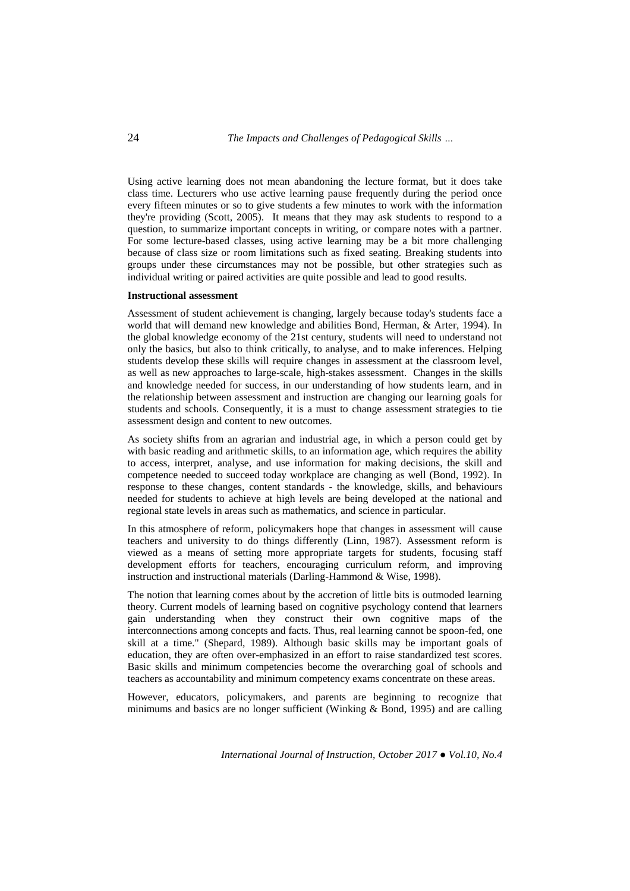Using active learning does not mean abandoning the lecture format, but it does take class time. Lecturers who use active learning pause frequently during the period once every fifteen minutes or so to give students a few minutes to work with the information they're providing (Scott, 2005). It means that they may ask students to respond to a question, to summarize important concepts in writing, or compare notes with a partner. For some lecture-based classes, using active learning may be a bit more challenging because of class size or room limitations such as fixed seating. Breaking students into groups under these circumstances may not be possible, but other strategies such as individual writing or paired activities are quite possible and lead to good results.

### **Instructional assessment**

Assessment of student achievement is changing, largely because today's students face a world that will demand new knowledge and abilities Bond, Herman, & Arter, 1994). In the global knowledge economy of the 21st century, students will need to understand not only the basics, but also to think critically, to analyse, and to make inferences. Helping students develop these skills will require changes in assessment at the classroom level, as well as new approaches to large-scale, high-stakes assessment. Changes in the skills and knowledge needed for success, in our understanding of how students learn, and in the relationship between assessment and instruction are changing our learning goals for students and schools. Consequently, it is a must to change assessment strategies to tie assessment design and content to new outcomes.

As society shifts from an agrarian and industrial age, in which a person could get by with basic reading and arithmetic skills, to an information age, which requires the ability to access, interpret, analyse, and use information for making decisions, the skill and competence needed to succeed today workplace are changing as well (Bond, 1992). In response to these changes, content standards - the knowledge, skills, and behaviours needed for students to achieve at high levels are being developed at the national and regional state levels in areas such as mathematics, and science in particular.

In this atmosphere of reform, policymakers hope that changes in assessment will cause teachers and university to do things differently (Linn, 1987). Assessment reform is viewed as a means of setting more appropriate targets for students, focusing staff development efforts for teachers, encouraging curriculum reform, and improving instruction and instructional materials (Darling-Hammond & Wise, 1998).

The notion that learning comes about by the accretion of little bits is outmoded learning theory. Current models of learning based on cognitive psychology contend that learners gain understanding when they construct their own cognitive maps of the interconnections among concepts and facts. Thus, real learning cannot be spoon-fed, one skill at a time." (Shepard, 1989). Although basic skills may be important goals of education, they are often over-emphasized in an effort to raise standardized test scores. Basic skills and minimum competencies become the overarching goal of schools and teachers as accountability and minimum competency exams concentrate on these areas.

However, educators, policymakers, and parents are beginning to recognize that minimums and basics are no longer sufficient (Winking & Bond, 1995) and are calling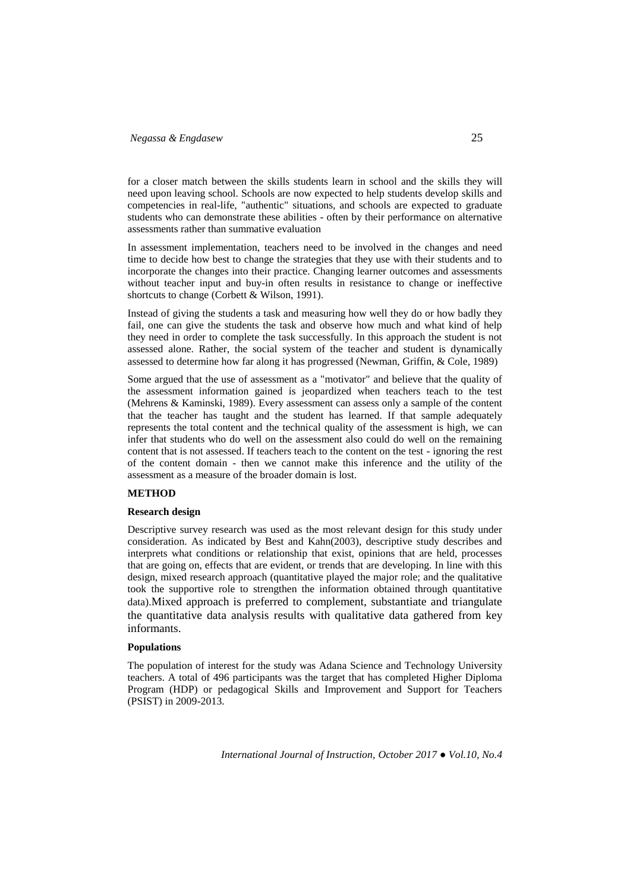for a closer match between the skills students learn in school and the skills they will need upon leaving school. Schools are now expected to help students develop skills and competencies in real-life, "authentic" situations, and schools are expected to graduate students who can demonstrate these abilities - often by their performance on alternative assessments rather than summative evaluation

In assessment implementation, teachers need to be involved in the changes and need time to decide how best to change the strategies that they use with their students and to incorporate the changes into their practice. Changing learner outcomes and assessments without teacher input and buy-in often results in resistance to change or ineffective shortcuts to change (Corbett & Wilson, 1991).

Instead of giving the students a task and measuring how well they do or how badly they fail, one can give the students the task and observe how much and what kind of help they need in order to complete the task successfully. In this approach the student is not assessed alone. Rather, the social system of the teacher and student is dynamically assessed to determine how far along it has progressed (Newman, Griffin, & Cole, 1989)

Some argued that the use of assessment as a "motivator" and believe that the quality of the assessment information gained is jeopardized when teachers teach to the test (Mehrens & Kaminski, 1989). Every assessment can assess only a sample of the content that the teacher has taught and the student has learned. If that sample adequately represents the total content and the technical quality of the assessment is high, we can infer that students who do well on the assessment also could do well on the remaining content that is not assessed. If teachers teach to the content on the test - ignoring the rest of the content domain - then we cannot make this inference and the utility of the assessment as a measure of the broader domain is lost.

# **METHOD**

### **Research design**

Descriptive survey research was used as the most relevant design for this study under consideration. As indicated by Best and Kahn(2003), descriptive study describes and interprets what conditions or relationship that exist, opinions that are held, processes that are going on, effects that are evident, or trends that are developing. In line with this design, mixed research approach (quantitative played the major role; and the qualitative took the supportive role to strengthen the information obtained through quantitative data).Mixed approach is preferred to complement, substantiate and triangulate the quantitative data analysis results with qualitative data gathered from key informants.

## **Populations**

The population of interest for the study was Adana Science and Technology University teachers. A total of 496 participants was the target that has completed Higher Diploma Program (HDP) or pedagogical Skills and Improvement and Support for Teachers (PSIST) in 2009-2013.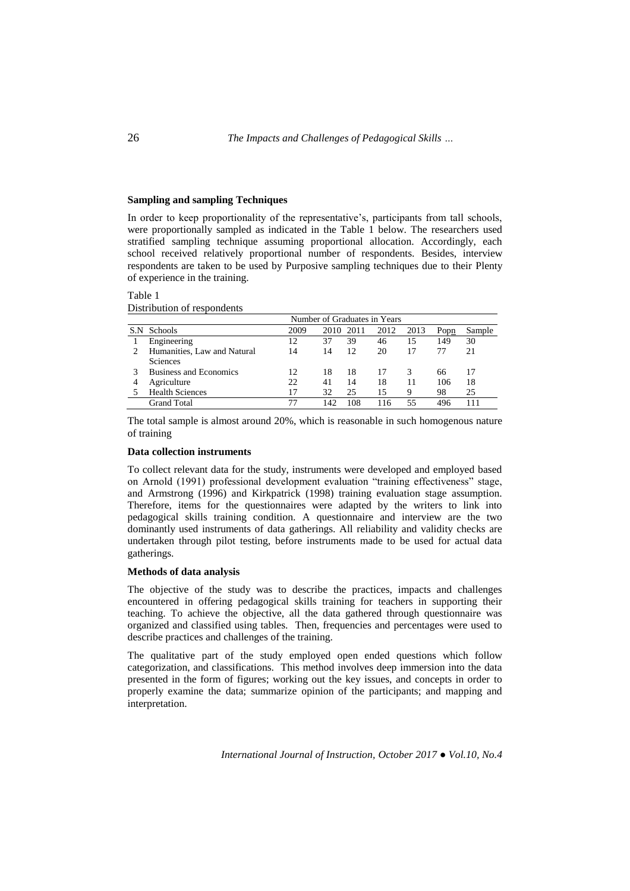#### **Sampling and sampling Techniques**

In order to keep proportionality of the representative's, participants from tall schools, were proportionally sampled as indicated in the Table 1 below. The researchers used stratified sampling technique assuming proportional allocation. Accordingly, each school received relatively proportional number of respondents. Besides, interview respondents are taken to be used by Purposive sampling techniques due to their Plenty of experience in the training.

| ٠<br>۰.<br>I<br>×<br>۹ |  |
|------------------------|--|
|------------------------|--|

|   | Number of Graduates in Years |      |      |      |      |      |      |        |  |  |
|---|------------------------------|------|------|------|------|------|------|--------|--|--|
|   | S.N Schools                  | 2009 | 2010 | 2011 | 2012 | 2013 | Popn | Sample |  |  |
|   | Engineering                  | 12   | 37   | 39   | 46   | 15   | 149  | 30     |  |  |
|   | Humanities, Law and Natural  | 14   | 14   | 12   | 20   | 17   |      |        |  |  |
|   | <b>Sciences</b>              |      |      |      |      |      |      |        |  |  |
|   | Business and Economics       | 12   | 18   | 18   | 17   |      | 66.  | 17     |  |  |
| 4 | Agriculture                  | 22   | 41   | 14   | 18   | 11   | 106  | 18     |  |  |
|   | <b>Health Sciences</b>       | 17   | 32   | 25   | 15   | 9    | 98   | 25     |  |  |
|   | Grand Total                  | 77   | 142  | 108  | 116  | 55   | 496  |        |  |  |

The total sample is almost around 20%, which is reasonable in such homogenous nature of training

### **Data collection instruments**

To collect relevant data for the study, instruments were developed and employed based on Arnold (1991) professional development evaluation "training effectiveness" stage, and Armstrong (1996) and Kirkpatrick (1998) training evaluation stage assumption. Therefore, items for the questionnaires were adapted by the writers to link into pedagogical skills training condition. A questionnaire and interview are the two dominantly used instruments of data gatherings. All reliability and validity checks are undertaken through pilot testing, before instruments made to be used for actual data gatherings.

## **Methods of data analysis**

The objective of the study was to describe the practices, impacts and challenges encountered in offering pedagogical skills training for teachers in supporting their teaching. To achieve the objective, all the data gathered through questionnaire was organized and classified using tables. Then, frequencies and percentages were used to describe practices and challenges of the training.

The qualitative part of the study employed open ended questions which follow categorization, and classifications. This method involves deep immersion into the data presented in the form of figures; working out the key issues, and concepts in order to properly examine the data; summarize opinion of the participants; and mapping and interpretation.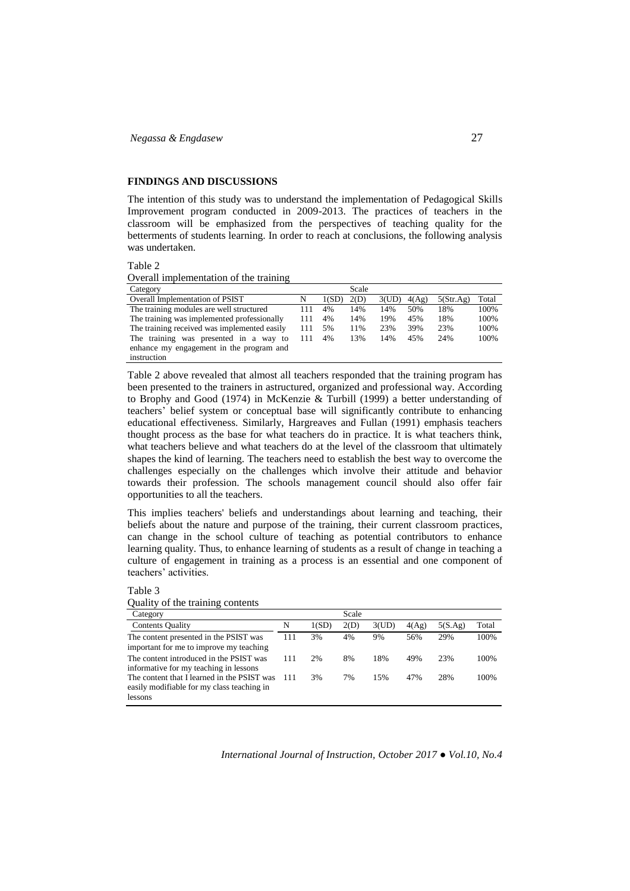## **FINDINGS AND DISCUSSIONS**

The intention of this study was to understand the implementation of Pedagogical Skills Improvement program conducted in 2009-2013. The practices of teachers in the classroom will be emphasized from the perspectives of teaching quality for the betterments of students learning. In order to reach at conclusions, the following analysis was undertaken.

# Table 2

Overall implementation of the training

| Category                                     |     |       | Scale |       |       |           |       |
|----------------------------------------------|-----|-------|-------|-------|-------|-----------|-------|
| Overall Implementation of PSIST              | N   | 1(SD) | 2(D)  | 3(UD) | 4(Ag) | 5(Str.Ag) | Total |
| The training modules are well structured     | 111 | 4%    | 14%   | 14%   | 50%   | 18%       | 100%  |
| The training was implemented professionally  | 111 | 4%    | 14%   | 19%   | 45%   | 18%       | 100%  |
| The training received was implemented easily | 111 | 5%    | 11%   | 23%   | 39%   | 23%       | 100%  |
| The training was presented in a way to       | 111 | 4%    | 13%   | 14%   | 45%   | 24%       | 100%  |
| enhance my engagement in the program and     |     |       |       |       |       |           |       |
| instruction                                  |     |       |       |       |       |           |       |

Table 2 above revealed that almost all teachers responded that the training program has been presented to the trainers in astructured, organized and professional way. According to Brophy and Good (1974) in McKenzie & Turbill (1999) a better understanding of teachers' belief system or conceptual base will significantly contribute to enhancing educational effectiveness. Similarly, Hargreaves and Fullan (1991) emphasis teachers thought process as the base for what teachers do in practice. It is what teachers think, what teachers believe and what teachers do at the level of the classroom that ultimately shapes the kind of learning. The teachers need to establish the best way to overcome the challenges especially on the challenges which involve their attitude and behavior towards their profession. The schools management council should also offer fair opportunities to all the teachers.

This implies teachers' beliefs and understandings about learning and teaching, their beliefs about the nature and purpose of the training, their current classroom practices, can change in the school culture of teaching as potential contributors to enhance learning quality. Thus, to enhance learning of students as a result of change in teaching a culture of engagement in training as a process is an essential and one component of teachers' activities.

Category Scale Scale Contents Quality N 1(SD) 2(D) 3(UD)  $\overline{4(Ag)}$  5(S.Ag) Total The content presented in the PSIST was important for me to improve my teaching 111 3% 4% 9% 56% 29% 100% The content introduced in the PSIST was informative for my teaching in lessons 111 2% 8% 18% 49% 23% 100% The content that I learned in the PSIST was easily modifiable for my class teaching in lessons 111 3% 7% 15% 47% 28% 100%

Table 3

| -------- |  |                                  |
|----------|--|----------------------------------|
|          |  | Quality of the training contents |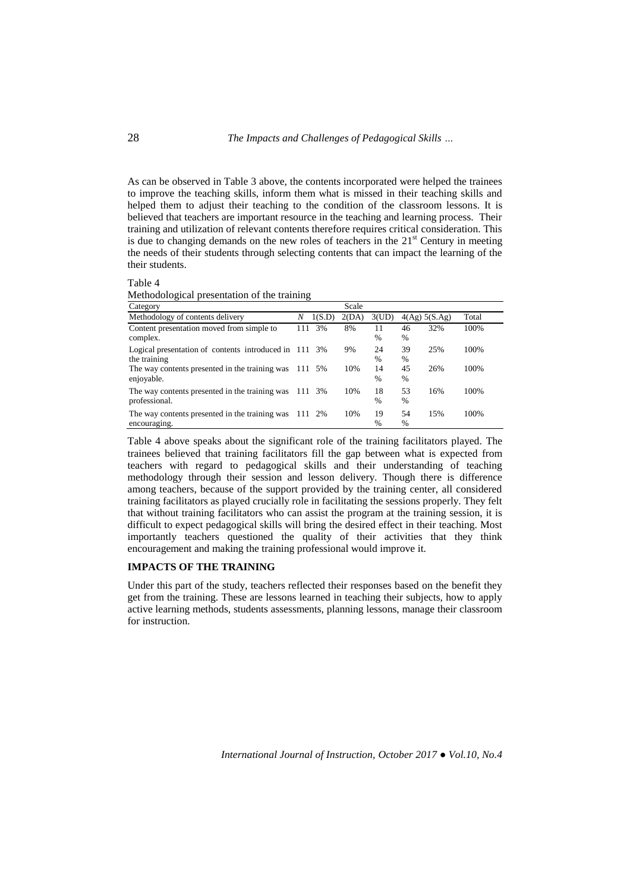As can be observed in Table 3 above, the contents incorporated were helped the trainees to improve the teaching skills, inform them what is missed in their teaching skills and helped them to adjust their teaching to the condition of the classroom lessons. It is believed that teachers are important resource in the teaching and learning process. Their training and utilization of relevant contents therefore requires critical consideration. This is due to changing demands on the new roles of teachers in the  $21<sup>st</sup>$  Century in meeting the needs of their students through selecting contents that can impact the learning of the their students.

Table 4

Methodological presentation of the training

| Category                                                               |     |        | Scale |                     |                     |               |       |
|------------------------------------------------------------------------|-----|--------|-------|---------------------|---------------------|---------------|-------|
| Methodology of contents delivery                                       | N   | 1(S.D) | 2(DA) | 3(UD)               |                     | 4(Ag) 5(S.Ag) | Total |
| Content presentation moved from simple to<br>complex.                  | 111 | 3%     | 8%    | 11<br>$\%$          | 46<br>$\frac{0}{0}$ | 32%           | 100%  |
| Logical presentation of contents introduced in 111 3%<br>the training  |     |        | 9%    | 24<br>$\frac{0}{0}$ | 39<br>$\%$          | 25%           | 100%  |
| The way contents presented in the training was 111 5%<br>enjoyable.    |     |        | 10%   | 14<br>$\frac{0}{0}$ | 45<br>$\%$          | 26%           | 100%  |
| The way contents presented in the training was 111 3%<br>professional. |     |        | 10%   | 18<br>$\frac{0}{0}$ | 53<br>%             | 16%           | 100%  |
| The way contents presented in the training was<br>encouraging.         |     | 111 2% | 10%   | 19<br>$\%$          | 54<br>$\%$          | 15%           | 100%  |

Table 4 above speaks about the significant role of the training facilitators played. The trainees believed that training facilitators fill the gap between what is expected from teachers with regard to pedagogical skills and their understanding of teaching methodology through their session and lesson delivery. Though there is difference among teachers, because of the support provided by the training center, all considered training facilitators as played crucially role in facilitating the sessions properly. They felt that without training facilitators who can assist the program at the training session, it is difficult to expect pedagogical skills will bring the desired effect in their teaching. Most importantly teachers questioned the quality of their activities that they think encouragement and making the training professional would improve it.

# **IMPACTS OF THE TRAINING**

Under this part of the study, teachers reflected their responses based on the benefit they get from the training. These are lessons learned in teaching their subjects, how to apply active learning methods, students assessments, planning lessons, manage their classroom for instruction.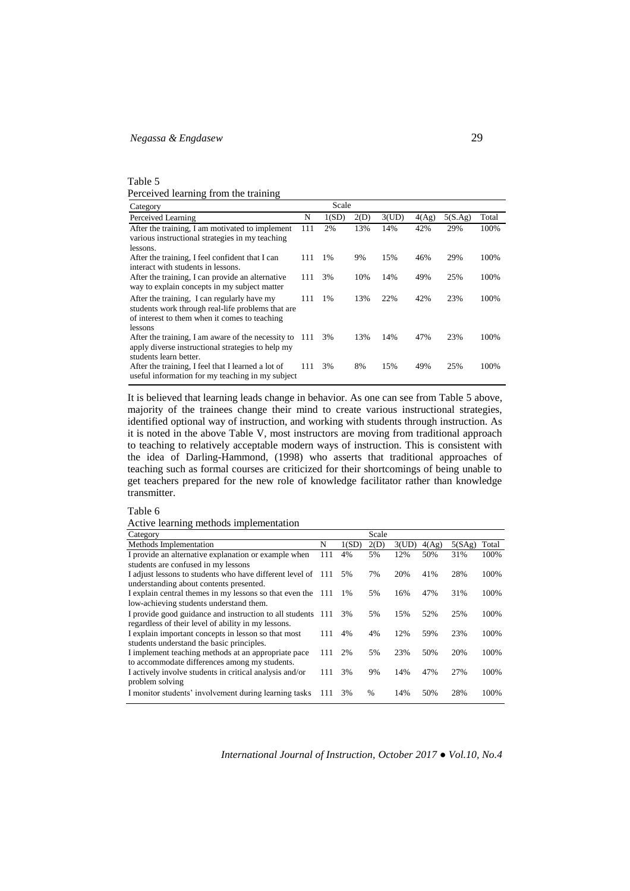#### Table 5

Perceived learning from the training

| Category                                                                                                                                                     | Scale |       |      |       |       |         |       |
|--------------------------------------------------------------------------------------------------------------------------------------------------------------|-------|-------|------|-------|-------|---------|-------|
| Perceived Learning                                                                                                                                           | N     | 1(SD) | 2(D) | 3(UD) | 4(Ag) | 5(S.Ag) | Total |
| After the training, I am motivated to implement<br>various instructional strategies in my teaching<br>lessons.                                               | 111   | 2%    | 13%  | 14%   | 42%   | 29%     | 100%  |
| After the training, I feel confident that I can<br>interact with students in lessons.                                                                        | 111   | $1\%$ | 9%   | 15%   | 46%   | 29%     | 100%  |
| After the training, I can provide an alternative<br>way to explain concepts in my subject matter                                                             | 111   | 3%    | 10%  | 14%   | 49%   | 25%     | 100%  |
| After the training, I can regularly have my<br>students work through real-life problems that are<br>of interest to them when it comes to teaching<br>lessons | 111   | 1%    | 13%  | 22%   | 42%   | 23%     | 100%  |
| After the training, I am aware of the necessity to 111<br>apply diverse instructional strategies to help my<br>students learn better.                        |       | 3%    | 13%  | 14%   | 47%   | 23%     | 100%  |
| After the training, I feel that I learned a lot of<br>useful information for my teaching in my subject                                                       | 111   | 3%    | 8%   | 15%   | 49%   | 25%     | 100%  |

It is believed that learning leads change in behavior. As one can see from Table 5 above, majority of the trainees change their mind to create various instructional strategies, identified optional way of instruction, and working with students through instruction. As it is noted in the above Table V, most instructors are moving from traditional approach to teaching to relatively acceptable modern ways of instruction. This is consistent with the idea of Darling-Hammond, (1998) who asserts that traditional approaches of teaching such as formal courses are criticized for their shortcomings of being unable to get teachers prepared for the new role of knowledge facilitator rather than knowledge transmitter.

#### Table 6

Active learning methods implementation

| Category                                                     |     |       | Scale         |       |       |        |       |
|--------------------------------------------------------------|-----|-------|---------------|-------|-------|--------|-------|
| Methods Implementation                                       | N   | 1(SD) | 2(D)          | 3(UD) | 4(Ag) | 5(SAg) | Total |
| I provide an alternative explanation or example when         | 111 | 4%    | 5%            | 12%   | 50%   | 31%    | 100%  |
| students are confused in my lessons                          |     |       |               |       |       |        |       |
| I adjust lessons to students who have different level of 111 |     | .5%   | 7%            | 20%   | 41%   | 28%    | 100%  |
| understanding about contents presented.                      |     |       |               |       |       |        |       |
| I explain central themes in my lessons so that even the 111  |     | 1%    | 5%            | 16%   | 47%   | 31%    | 100%  |
| low-achieving students understand them.                      |     |       |               |       |       |        |       |
| I provide good guidance and instruction to all students 111  |     | 3%    | 5%            | 15%   | 52%   | 25%    | 100%  |
| regardless of their level of ability in my lessons.          |     |       |               |       |       |        |       |
| I explain important concepts in lesson so that most          | 111 | 4%    | 4%            | 12%   | 59%   | 23%    | 100%  |
| students understand the basic principles.                    |     |       |               |       |       |        |       |
| I implement teaching methods at an appropriate pace          | 111 | 2%    | 5%            | 23%   | 50%   | 20%    | 100%  |
| to accommodate differences among my students.                |     |       |               |       |       |        |       |
| I actively involve students in critical analysis and/or      | 111 | 3%    | 9%            | 14%   | 47%   | 27%    | 100%  |
| problem solving                                              |     |       |               |       |       |        |       |
| I monitor students' involvement during learning tasks        |     | 3%    | $\frac{0}{0}$ | 14%   | 50%   | 28%    | 100%  |
|                                                              |     |       |               |       |       |        |       |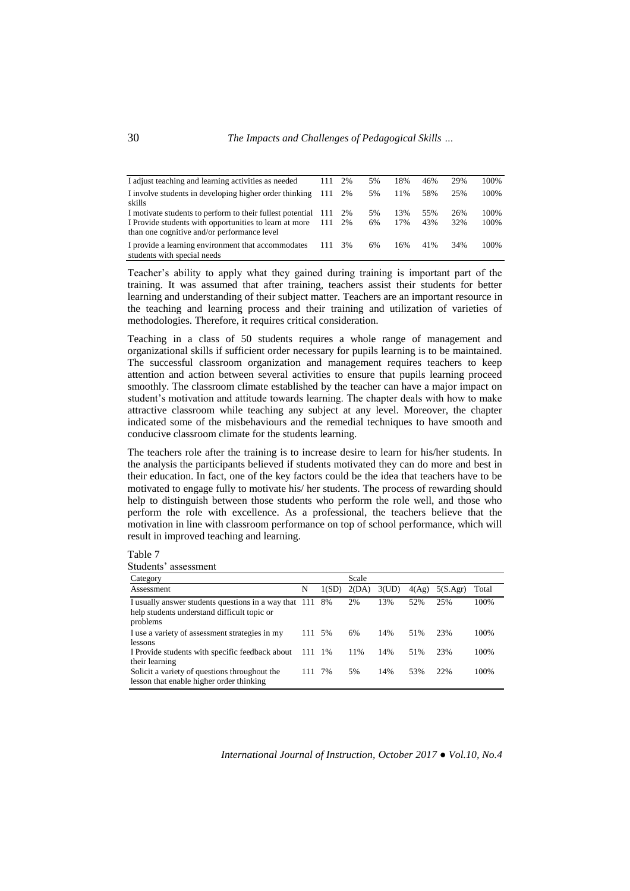| I adjust teaching and learning activities as needed                                                   | 111     | 2% | 5% | 18% | 46%  | 29% | 100% |
|-------------------------------------------------------------------------------------------------------|---------|----|----|-----|------|-----|------|
| I involve students in developing higher order thinking<br>skills                                      | 111 2\% |    | 5% | 11% | .58% | 25% | 100% |
| I motivate students to perform to their fullest potential 111                                         |         | 2% | 5% | 13% | 55%  | 26% | 100% |
| I Provide students with opportunities to learn at more<br>than one cognitive and/or performance level | -111    | 2% | 6% | 17% | 43%  | 32% | 100% |
| I provide a learning environment that accommodates<br>students with special needs                     | 111     | 3% | 6% | 16% | 41%  | 34% | 100% |

Teacher's ability to apply what they gained during training is important part of the training. It was assumed that after training, teachers assist their students for better learning and understanding of their subject matter. Teachers are an important resource in the teaching and learning process and their training and utilization of varieties of methodologies. Therefore, it requires critical consideration.

Teaching in a class of 50 students requires a whole range of management and organizational skills if sufficient order necessary for pupils learning is to be maintained. The successful classroom organization and management requires teachers to keep attention and action between several activities to ensure that pupils learning proceed smoothly. The classroom climate established by the teacher can have a major impact on student's motivation and attitude towards learning. The chapter deals with how to make attractive classroom while teaching any subject at any level. Moreover, the chapter indicated some of the misbehaviours and the remedial techniques to have smooth and conducive classroom climate for the students learning.

The teachers role after the training is to increase desire to learn for his/her students. In the analysis the participants believed if students motivated they can do more and best in their education. In fact, one of the key factors could be the idea that teachers have to be motivated to engage fully to motivate his/ her students. The process of rewarding should help to distinguish between those students who perform the role well, and those who perform the role with excellence. As a professional, the teachers believe that the motivation in line with classroom performance on top of school performance, which will result in improved teaching and learning.

Table 7

| Category                                                                                                         | Scale |       |       |       |       |          |       |
|------------------------------------------------------------------------------------------------------------------|-------|-------|-------|-------|-------|----------|-------|
| Assessment                                                                                                       | N     | 1(SD) | 2(DA) | 3(UD) | 4(Ag) | 5(S.Agr) | Total |
| I usually answer students questions in a way that 111<br>help students understand difficult topic or<br>problems |       | 8%    | 2%    | 13%   | 52%   | 25%      | 100%  |
| I use a variety of assessment strategies in my<br>lessons                                                        | 111   | 5%    | 6%    | 14%   | 51%   | 23%      | 100%  |
| I Provide students with specific feedback about<br>their learning                                                | 111   | $1\%$ | 11%   | 14%   | 51%   | 23%      | 100%  |
| Solicit a variety of questions throughout the<br>lesson that enable higher order thinking                        | 111   | 7%    | 5%    | 14%   | 53%   | 22%      | 100%  |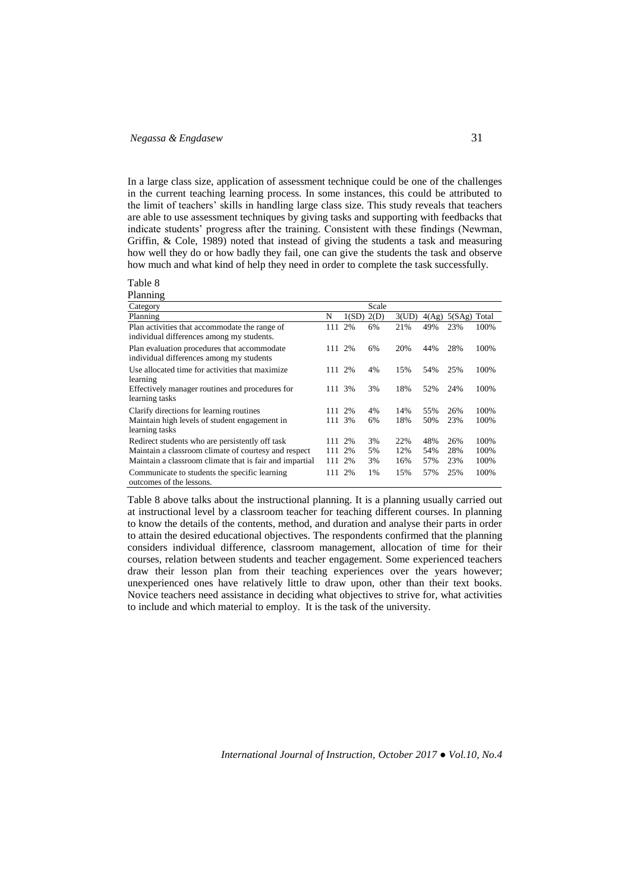In a large class size, application of assessment technique could be one of the challenges in the current teaching learning process. In some instances, this could be attributed to the limit of teachers' skills in handling large class size. This study reveals that teachers are able to use assessment techniques by giving tasks and supporting with feedbacks that indicate students' progress after the training. Consistent with these findings (Newman, Griffin, & Cole, 1989) noted that instead of giving the students a task and measuring how well they do or how badly they fail, one can give the students the task and observe how much and what kind of help they need in order to complete the task successfully.

# Table 8

| Planning                                                                                   |        |       |       |       |       |        |       |  |
|--------------------------------------------------------------------------------------------|--------|-------|-------|-------|-------|--------|-------|--|
| Category                                                                                   |        |       | Scale |       |       |        |       |  |
| Planning                                                                                   | N      | 1(SD) | 2(D)  | 3(UD) | 4(Ag) | 5(SAg) | Total |  |
| Plan activities that accommodate the range of<br>individual differences among my students. | 111    | 2%    | 6%    | 21%   | 49%   | 23%    | 100%  |  |
| Plan evaluation procedures that accommodate<br>individual differences among my students    | 111    | 2%    | 6%    | 20%   | 44%   | 28%    | 100%  |  |
| Use allocated time for activities that maximize<br>learning                                | 111    | 2%    | 4%    | 15%   | 54%   | 25%    | 100%  |  |
| Effectively manager routines and procedures for<br>learning tasks                          | 111 3% |       | 3%    | 18%   | 52%   | 24%    | 100%  |  |
| Clarify directions for learning routines                                                   | 111    | 2%    | 4%    | 14%   | 55%   | 26%    | 100%  |  |
| Maintain high levels of student engagement in<br>learning tasks                            | 111 3% |       | 6%    | 18%   | 50%   | 23%    | 100%  |  |
| Redirect students who are persistently off task                                            | 111 2% |       | 3%    | 22%   | 48%   | 26%    | 100%  |  |
| Maintain a classroom climate of courtesy and respect                                       | 111    | 2%    | 5%    | 12%   | 54%   | 28%    | 100%  |  |
| Maintain a classroom climate that is fair and impartial                                    | 111    | 2%    | 3%    | 16%   | 57%   | 23%    | 100%  |  |
| Communicate to students the specific learning<br>outcomes of the lessons.                  | 111    | 2%    | 1%    | 15%   | 57%   | 25%    | 100%  |  |

Table 8 above talks about the instructional planning. It is a planning usually carried out at instructional level by a classroom teacher for teaching different courses. In planning to know the details of the contents, method, and duration and analyse their parts in order to attain the desired educational objectives. The respondents confirmed that the planning considers individual difference, classroom management, allocation of time for their courses, relation between students and teacher engagement. Some experienced teachers draw their lesson plan from their teaching experiences over the years however; unexperienced ones have relatively little to draw upon, other than their text books. Novice teachers need assistance in deciding what objectives to strive for, what activities to include and which material to employ. It is the task of the university.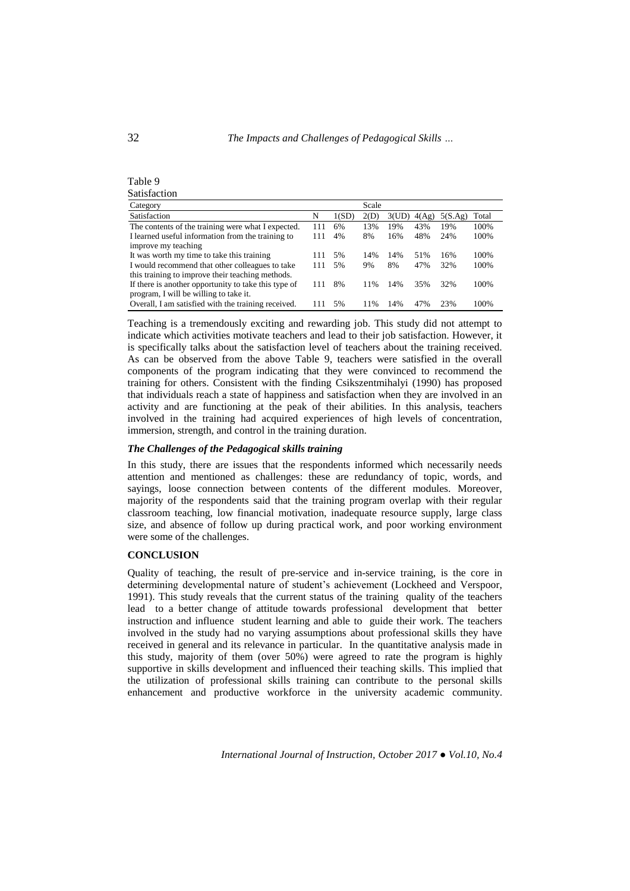| Table 9      |
|--------------|
| Satisfaction |

| Category                                             |     |       | Scale |       |       |         |       |
|------------------------------------------------------|-----|-------|-------|-------|-------|---------|-------|
| Satisfaction                                         | N   | 1(SD) | 2(D)  | 3(UD) | 4(Ag) | 5(S.Ag) | Total |
| The contents of the training were what I expected.   | 111 | 6%    | 13%   | 19%   | 43%   | 19%     | 100%  |
| I learned useful information from the training to    | 111 | 4%    | 8%    | 16%   | 48%   | 24%     | 100%  |
| improve my teaching                                  |     |       |       |       |       |         |       |
| It was worth my time to take this training           | 111 | .5%   | 14%   | 14%   | 51%   | 16%     | 100%  |
| I would recommend that other colleagues to take      | 111 | 5%    | 9%    | 8%    | 47%   | 32%     | 100%  |
| this training to improve their teaching methods.     |     |       |       |       |       |         |       |
| If there is another opportunity to take this type of | 111 | 8%    | 11%   | 14%   | 35%   | 32%     | 100%  |
| program, I will be willing to take it.               |     |       |       |       |       |         |       |
| Overall, I am satisfied with the training received.  |     | 5%    | 11%   | 14%   | 47%   | 23%     | 100%  |

Teaching is a tremendously exciting and rewarding job. This study did not attempt to indicate which activities motivate teachers and lead to their job satisfaction. However, it is specifically talks about the satisfaction level of teachers about the training received. As can be observed from the above Table 9, teachers were satisfied in the overall components of the program indicating that they were convinced to recommend the training for others. Consistent with the finding Csikszentmihalyi (1990) has proposed that individuals reach a state of happiness and satisfaction when they are involved in an activity and are functioning at the peak of their abilities. In this analysis, teachers involved in the training had acquired experiences of high levels of concentration, immersion, strength, and control in the training duration.

# *The Challenges of the Pedagogical skills training*

In this study, there are issues that the respondents informed which necessarily needs attention and mentioned as challenges: these are redundancy of topic, words, and sayings, loose connection between contents of the different modules. Moreover, majority of the respondents said that the training program overlap with their regular classroom teaching, low financial motivation, inadequate resource supply, large class size, and absence of follow up during practical work, and poor working environment were some of the challenges.

### **CONCLUSION**

Quality of teaching, the result of pre-service and in-service training, is the core in determining developmental nature of student's achievement (Lockheed and Verspoor, 1991). This study reveals that the current status of the training quality of the teachers lead to a better change of attitude towards professional development that better instruction and influence student learning and able to guide their work. The teachers involved in the study had no varying assumptions about professional skills they have received in general and its relevance in particular. In the quantitative analysis made in this study, majority of them (over 50%) were agreed to rate the program is highly supportive in skills development and influenced their teaching skills. This implied that the utilization of professional skills training can contribute to the personal skills enhancement and productive workforce in the university academic community.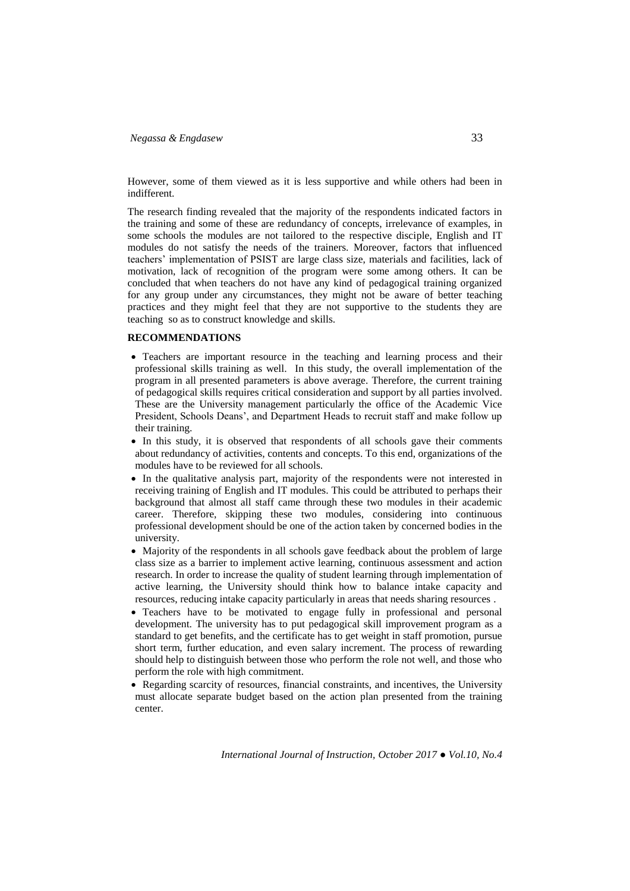However, some of them viewed as it is less supportive and while others had been in indifferent.

The research finding revealed that the majority of the respondents indicated factors in the training and some of these are redundancy of concepts, irrelevance of examples, in some schools the modules are not tailored to the respective disciple, English and IT modules do not satisfy the needs of the trainers. Moreover, factors that influenced teachers' implementation of PSIST are large class size, materials and facilities, lack of motivation, lack of recognition of the program were some among others. It can be concluded that when teachers do not have any kind of pedagogical training organized for any group under any circumstances, they might not be aware of better teaching practices and they might feel that they are not supportive to the students they are teaching so as to construct knowledge and skills.

### **RECOMMENDATIONS**

- Teachers are important resource in the teaching and learning process and their professional skills training as well. In this study, the overall implementation of the program in all presented parameters is above average. Therefore, the current training of pedagogical skills requires critical consideration and support by all parties involved. These are the University management particularly the office of the Academic Vice President, Schools Deans', and Department Heads to recruit staff and make follow up their training.
- In this study, it is observed that respondents of all schools gave their comments about redundancy of activities, contents and concepts. To this end, organizations of the modules have to be reviewed for all schools.
- In the qualitative analysis part, majority of the respondents were not interested in receiving training of English and IT modules. This could be attributed to perhaps their background that almost all staff came through these two modules in their academic career. Therefore, skipping these two modules, considering into continuous professional development should be one of the action taken by concerned bodies in the university.
- Majority of the respondents in all schools gave feedback about the problem of large class size as a barrier to implement active learning, continuous assessment and action research. In order to increase the quality of student learning through implementation of active learning, the University should think how to balance intake capacity and resources, reducing intake capacity particularly in areas that needs sharing resources .
- Teachers have to be motivated to engage fully in professional and personal development. The university has to put pedagogical skill improvement program as a standard to get benefits, and the certificate has to get weight in staff promotion, pursue short term, further education, and even salary increment. The process of rewarding should help to distinguish between those who perform the role not well, and those who perform the role with high commitment.
- Regarding scarcity of resources, financial constraints, and incentives, the University must allocate separate budget based on the action plan presented from the training center.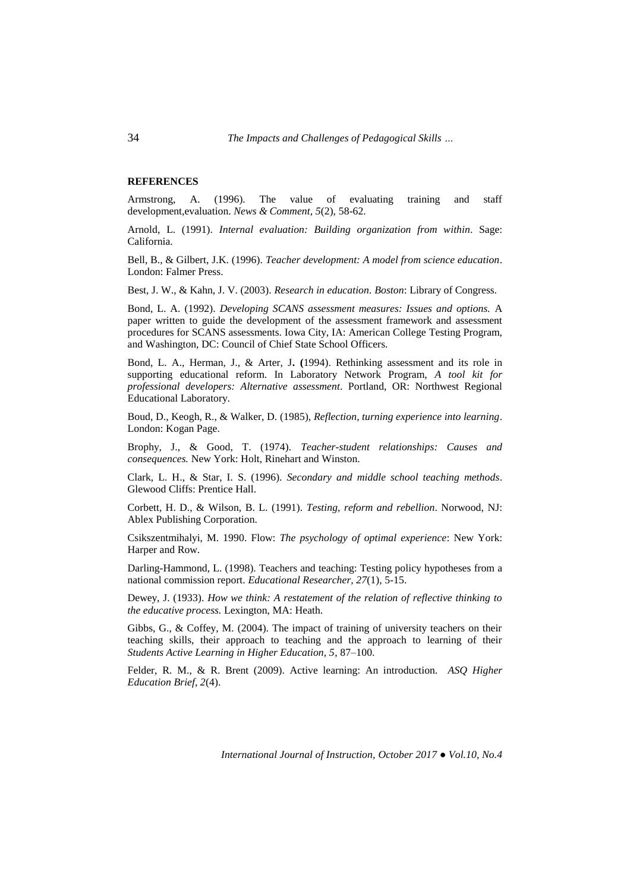# **REFERENCES**

Armstrong, A. (1996). The value of evaluating training and staff development,evaluation. *News & Comment, 5*(2), 58-62.

Arnold, L. (1991). *Internal evaluation: Building organization from within*. Sage: California.

Bell, B., & Gilbert, J.K. (1996). *Teacher development: A model from science education*. London: Falmer Press.

Best, J. W., & Kahn, J. V. (2003). *Research in education. Boston*: Library of Congress.

Bond, L. A. (1992). *Developing SCANS assessment measures: Issues and options.* A paper written to guide the development of the assessment framework and assessment procedures for SCANS assessments. Iowa City, IA: American College Testing Program, and Washington, DC: Council of Chief State School Officers.

Bond, L. A., Herman, J., & Arter, J**. (**1994). Rethinking assessment and its role in supporting educational reform. In Laboratory Network Program, *A tool kit for professional developers: Alternative assessment*. Portland, OR: Northwest Regional Educational Laboratory.

Boud, D., Keogh, R., & Walker, D. (1985), *Reflection, turning experience into learning*. London: Kogan Page.

Brophy, J., & Good, T. (1974). *Teacher-student relationships: Causes and consequences.* New York: Holt, Rinehart and Winston.

Clark, L. H., & Star, I. S. (1996). *Secondary and middle school teaching methods*. Glewood Cliffs: Prentice Hall.

Corbett, H. D., & Wilson, B. L. (1991). *Testing, reform and rebellion*. Norwood, NJ: Ablex Publishing Corporation.

Csikszentmihalyi, M. 1990. Flow: *The psychology of optimal experience*: New York: Harper and Row.

Darling-Hammond, L. (1998). Teachers and teaching: Testing policy hypotheses from a national commission report. *Educational Researcher, 27*(1), 5-15.

Dewey, J. (1933). *How we think: A restatement of the relation of reflective thinking to the educative process.* Lexington, MA: Heath.

Gibbs, G., & Coffey, M. (2004). The impact of training of university teachers on their teaching skills, their approach to teaching and the approach to learning of their *Students Active Learning in Higher Education, 5*, 87–100.

Felder, R. M., & R. Brent (2009). Active learning: An introduction. *ASQ Higher Education Brief, 2*(4).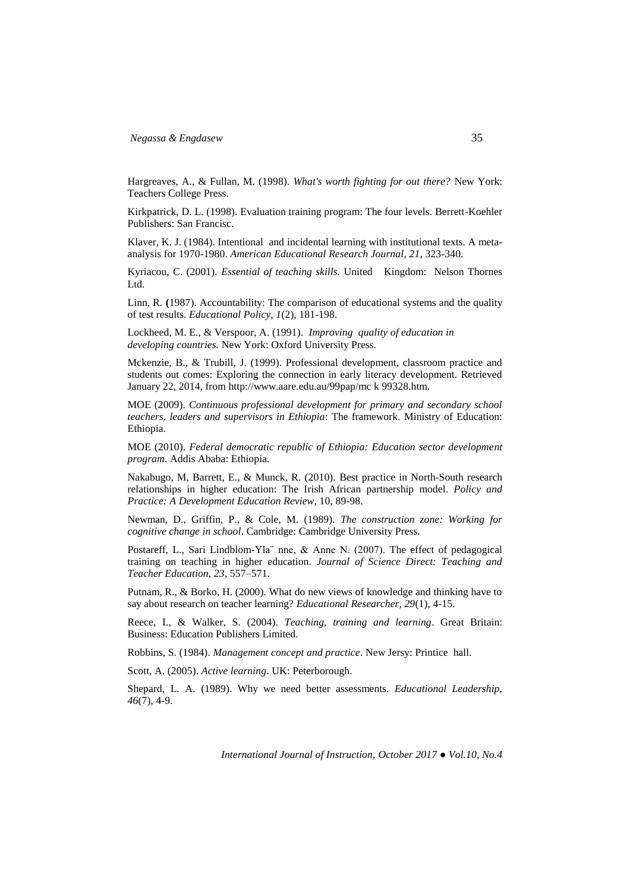Hargreaves, A., & Fullan, M. (1998). *What's worth fighting for out there?* New York: Teachers College Press.

Kirkpatrick, D. L. (1998). Evaluation training program: The four levels. Berrett-Koehler Publishers: San Francisc.

Klaver, K. J. (1984). Intentional and incidental learning with institutional texts. A metaanalysis for 1970-1980. *American Educational Research Journal, 21*, 323-340.

Kyriacou, C. (2001). *Essential of teaching skills.* United Kingdom: Nelson Thornes Ltd.

Linn, R. **(**1987). Accountability: The comparison of educational systems and the quality of test results. *Educational Policy, 1*(2), 181-198.

Lockheed, M. E., & Verspoor, A. (1991). *Improving quality of education in developing countries.* New York: Oxford University Press.

Mckenzie, B., & Trubill, J. (1999). Professional development, classroom practice and students out comes: Exploring the connection in early literacy development. Retrieved January 22, 2014, from<http://www.aare.edu.au/99pap/mc> k 99328.htm.

MOE (2009). *Continuous professional development for primary and secondary school teachers, leaders and supervisors in Ethiopia*: The framework. Ministry of Education: Ethiopia.

MOE (2010). *Federal democratic republic of Ethiopia: Education sector development program*. Addis Ababa: Ethiopia.

Nakabugo, M, Barrett, E., & Munck, R. (2010). Best practice in North-South research relationships in higher education: The Irish African partnership model. *Policy and Practice: A Development Education Review*, 10, 89-98.

Newman, D., Griffin, P., & Cole, M. (1989). *The construction zone: Working for cognitive change in school*. Cambridge: Cambridge University Press.

Postareff, L., Sari Lindblom-Yla¨ nne, & Anne N. (2007). The effect of pedagogical training on teaching in higher education. *Journal of Science Direct: Teaching and Teacher Education, 23*, 557–571.

Putnam, R., & Borko, H. (2000). What do new views of knowledge and thinking have to say about research on teacher learning? *Educational Researcher, 29*(1), 4-15.

Reece, I., & Walker, S. (2004). *Teaching, training and learning*. Great Britain: Business: Education Publishers Limited.

Robbins, S. (1984). *Management concept and practice*. New Jersy: Printice hall.

Scott, A. (2005). *Active learning*. UK: Peterborough.

Shepard, L. A. (1989). Why we need better assessments. *Educational Leadership, 46*(7), 4-9.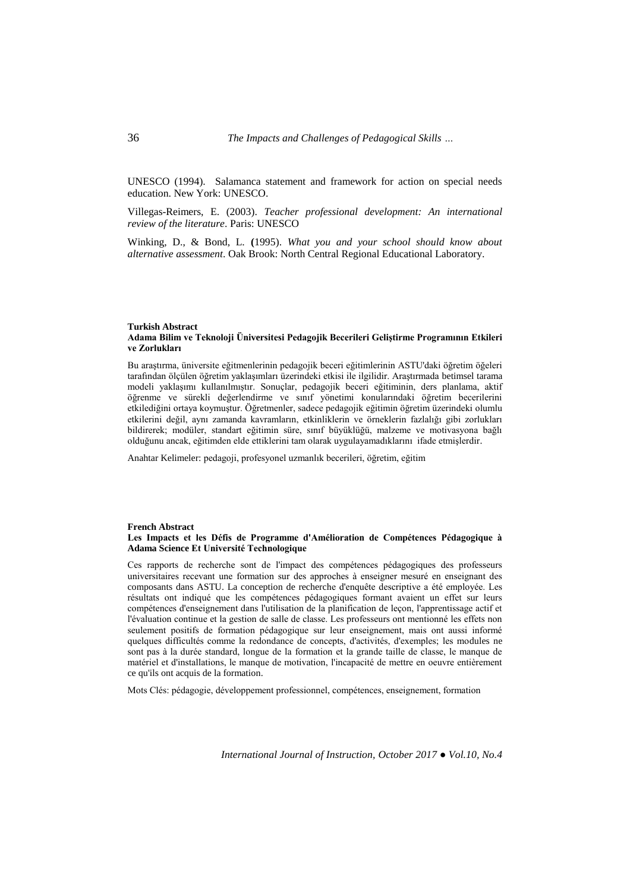UNESCO (1994). Salamanca statement and framework for action on special needs education. New York: UNESCO.

Villegas-Reimers, E. (2003). *Teacher professional development: An international review of the literature*. Paris: UNESCO

Winking, D., & Bond, L. **(**1995). *What you and your school should know about alternative assessment*. Oak Brook: North Central Regional Educational Laboratory.

#### **Turkish Abstract Adama Bilim ve Teknoloji Üniversitesi Pedagojik Becerileri Geliştirme Programının Etkileri ve Zorlukları**

Bu araştırma, üniversite eğitmenlerinin pedagojik beceri eğitimlerinin ASTU'daki öğretim öğeleri tarafından ölçülen öğretim yaklaşımları üzerindeki etkisi ile ilgilidir. Araştırmada betimsel tarama modeli yaklaşımı kullanılmıştır. Sonuçlar, pedagojik beceri eğitiminin, ders planlama, aktif öğrenme ve sürekli değerlendirme ve sınıf yönetimi konularındaki öğretim becerilerini etkilediğini ortaya koymuştur. Öğretmenler, sadece pedagojik eğitimin öğretim üzerindeki olumlu etkilerini değil, aynı zamanda kavramların, etkinliklerin ve örneklerin fazlalığı gibi zorlukları bildirerek; modüler, standart eğitimin süre, sınıf büyüklüğü, malzeme ve motivasyona bağlı olduğunu ancak, eğitimden elde ettiklerini tam olarak uygulayamadıklarını ifade etmişlerdir.

Anahtar Kelimeler: pedagoji, profesyonel uzmanlık becerileri, öğretim, eğitim

### **French Abstract**

#### **Les Impacts et les Défis de Programme d'Amélioration de Compétences Pédagogique à Adama Science Et Université Technologique**

Ces rapports de recherche sont de l'impact des compétences pédagogiques des professeurs universitaires recevant une formation sur des approches à enseigner mesuré en enseignant des composants dans ASTU. La conception de recherche d'enquête descriptive a été employée. Les résultats ont indiqué que les compétences pédagogiques formant avaient un effet sur leurs compétences d'enseignement dans l'utilisation de la planification de leçon, l'apprentissage actif et l'évaluation continue et la gestion de salle de classe. Les professeurs ont mentionné les effets non seulement positifs de formation pédagogique sur leur enseignement, mais ont aussi informé quelques difficultés comme la redondance de concepts, d'activités, d'exemples; les modules ne sont pas à la durée standard, longue de la formation et la grande taille de classe, le manque de matériel et d'installations, le manque de motivation, l'incapacité de mettre en oeuvre entièrement ce qu'ils ont acquis de la formation.

Mots Clés: pédagogie, développement professionnel, compétences, enseignement, formation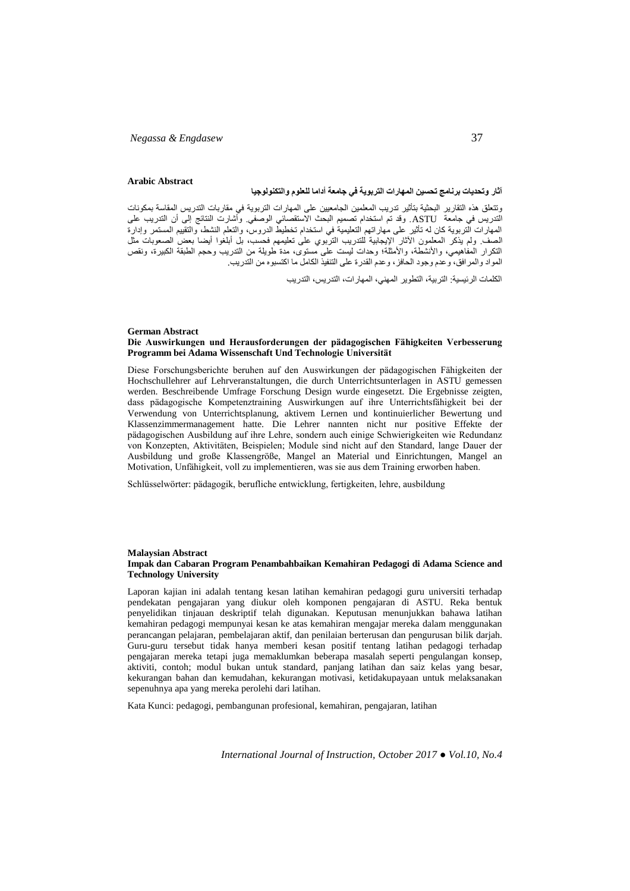## **Arabic Abstract**

# **آثار وتحديات برنامج تحسين المهارات التربوية في جامعة أداما للعلوم والتكنولوجيا**

وتتعلق هذه التقارير البحثية بتأثير تدريب المعلمين الجامعيين على المهارات التربوية في مقاربات التدريس المقاسة بمكونات التدريس في جامعة ASTU. وقد تم استخدام تصميم البحث االستقصائي الوصفي. وأشارت النتائج إلى أن التدريب على المهارات التربوية كان له تأثير على مهاراتهم التعليمية في استخدام تخطيط الدروس، والتعلم النشط، والتقييم المستمر وإدارة الصف. ولم يذكر المعلمون اآلثار اإليجابية للتدريب التربوي على تعليمهم فحسب، بل أبلغوا أيضا بعض الصعوبات مثل التكرار المفاهيمي، واألنشطة، واألمثلة؛ وحدات ليست على مستوى، مدة طويلة من التدريب وحجم الطبقة الكبيرة، ونقص المواد والمرافق، وعدم وجود الحافز، وعدم القدرة على التنفيذ الكامل ما اكتسبوه من التدريب.

الكلمات الرئيسية: التربية، التطوير المهني، المهارات، التدريس، التدريب

#### **German Abstract Die Auswirkungen und Herausforderungen der pädagogischen Fähigkeiten Verbesserung Programm bei Adama Wissenschaft Und Technologie Universität**

Diese Forschungsberichte beruhen auf den Auswirkungen der pädagogischen Fähigkeiten der Hochschullehrer auf Lehrveranstaltungen, die durch Unterrichtsunterlagen in ASTU gemessen werden. Beschreibende Umfrage Forschung Design wurde eingesetzt. Die Ergebnisse zeigten, dass pädagogische Kompetenztraining Auswirkungen auf ihre Unterrichtsfähigkeit bei der Verwendung von Unterrichtsplanung, aktivem Lernen und kontinuierlicher Bewertung und Klassenzimmermanagement hatte. Die Lehrer nannten nicht nur positive Effekte der pädagogischen Ausbildung auf ihre Lehre, sondern auch einige Schwierigkeiten wie Redundanz von Konzepten, Aktivitäten, Beispielen; Module sind nicht auf den Standard, lange Dauer der Ausbildung und große Klassengröße, Mangel an Material und Einrichtungen, Mangel an Motivation, Unfähigkeit, voll zu implementieren, was sie aus dem Training erworben haben.

Schlüsselwörter: pädagogik, berufliche entwicklung, fertigkeiten, lehre, ausbildung

#### **Malaysian Abstract Impak dan Cabaran Program Penambahbaikan Kemahiran Pedagogi di Adama Science and Technology University**

Laporan kajian ini adalah tentang kesan latihan kemahiran pedagogi guru universiti terhadap pendekatan pengajaran yang diukur oleh komponen pengajaran di ASTU. Reka bentuk penyelidikan tinjauan deskriptif telah digunakan. Keputusan menunjukkan bahawa latihan kemahiran pedagogi mempunyai kesan ke atas kemahiran mengajar mereka dalam menggunakan perancangan pelajaran, pembelajaran aktif, dan penilaian berterusan dan pengurusan bilik darjah. Guru-guru tersebut tidak hanya memberi kesan positif tentang latihan pedagogi terhadap pengajaran mereka tetapi juga memaklumkan beberapa masalah seperti pengulangan konsep, aktiviti, contoh; modul bukan untuk standard, panjang latihan dan saiz kelas yang besar, kekurangan bahan dan kemudahan, kekurangan motivasi, ketidakupayaan untuk melaksanakan sepenuhnya apa yang mereka perolehi dari latihan.

Kata Kunci: pedagogi, pembangunan profesional, kemahiran, pengajaran, latihan